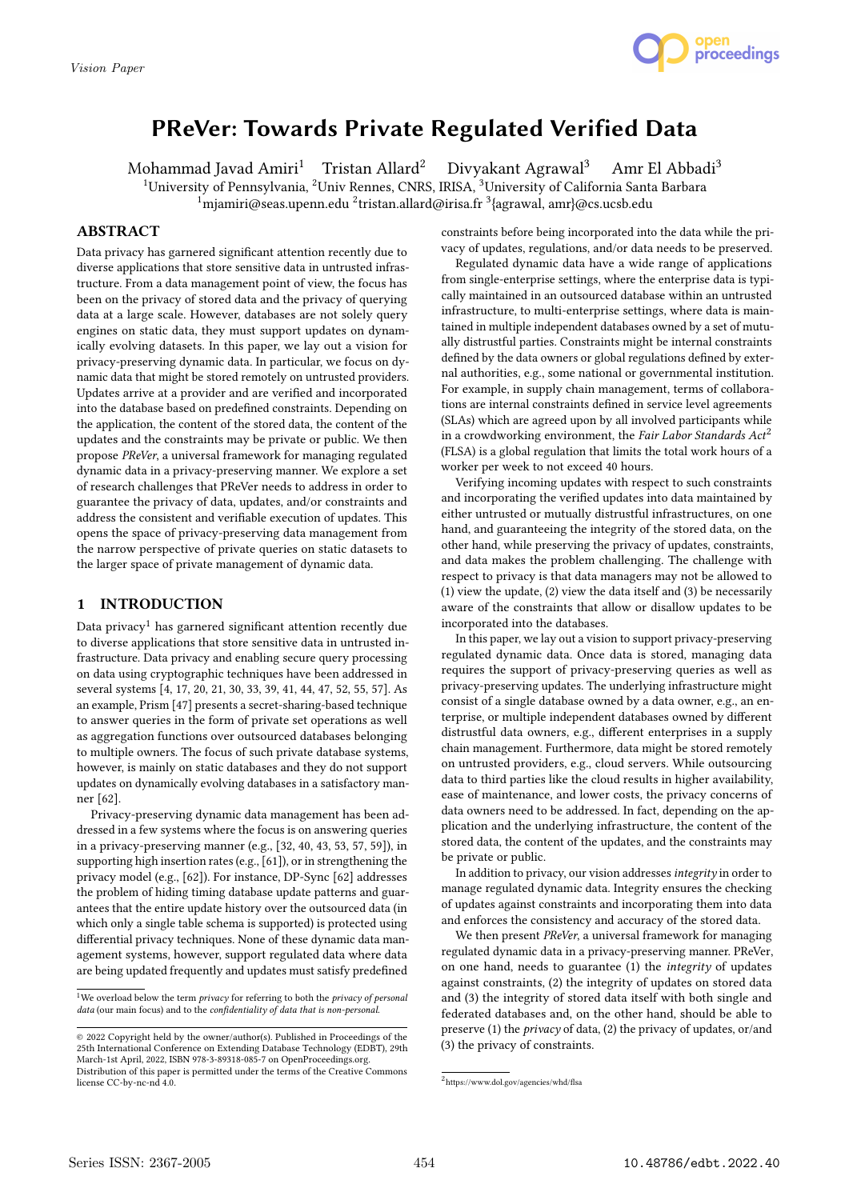

# PReVer: Towards Private Regulated Verified Data

Mohammad Javad Amiri<sup>1</sup> Tristan Allard<sup>2</sup> Divyakant Agrawal<sup>3</sup> Amr El Abbadi<sup>3</sup> <sup>1</sup>University of Pennsylvania, <sup>2</sup>Univ Rennes, CNRS, IRISA, <sup>3</sup>University of California Santa Barbara  $1$ miamiri@seas.upenn.edu <sup>2</sup>tristan.allard@irisa.fr <sup>3</sup>{agrawal, amr}@cs.ucsb.edu

# ABSTRACT

Data privacy has garnered significant attention recently due to diverse applications that store sensitive data in untrusted infrastructure. From a data management point of view, the focus has been on the privacy of stored data and the privacy of querying data at a large scale. However, databases are not solely query engines on static data, they must support updates on dynamically evolving datasets. In this paper, we lay out a vision for privacy-preserving dynamic data. In particular, we focus on dynamic data that might be stored remotely on untrusted providers. Updates arrive at a provider and are verified and incorporated into the database based on predefined constraints. Depending on the application, the content of the stored data, the content of the updates and the constraints may be private or public. We then propose PReVer, a universal framework for managing regulated dynamic data in a privacy-preserving manner. We explore a set of research challenges that PReVer needs to address in order to guarantee the privacy of data, updates, and/or constraints and address the consistent and verifiable execution of updates. This opens the space of privacy-preserving data management from the narrow perspective of private queries on static datasets to the larger space of private management of dynamic data.

# 1 INTRODUCTION

Data privacy<sup>1</sup> has garnered significant attention recently due to diverse applications that store sensitive data in untrusted infrastructure. Data privacy and enabling secure query processing on data using cryptographic techniques have been addressed in several systems [4, 17, 20, 21, 30, 33, 39, 41, 44, 47, 52, 55, 57]. As an example, Prism [47] presents a secret-sharing-based technique to answer queries in the form of private set operations as well as aggregation functions over outsourced databases belonging to multiple owners. The focus of such private database systems, however, is mainly on static databases and they do not support updates on dynamically evolving databases in a satisfactory manner [62].

Privacy-preserving dynamic data management has been addressed in a few systems where the focus is on answering queries in a privacy-preserving manner (e.g., [32, 40, 43, 53, 57, 59]), in supporting high insertion rates (e.g., [61]), or in strengthening the privacy model (e.g., [62]). For instance, DP-Sync [62] addresses the problem of hiding timing database update patterns and guarantees that the entire update history over the outsourced data (in which only a single table schema is supported) is protected using differential privacy techniques. None of these dynamic data management systems, however, support regulated data where data are being updated frequently and updates must satisfy predefined

constraints before being incorporated into the data while the privacy of updates, regulations, and/or data needs to be preserved.

Regulated dynamic data have a wide range of applications from single-enterprise settings, where the enterprise data is typically maintained in an outsourced database within an untrusted infrastructure, to multi-enterprise settings, where data is maintained in multiple independent databases owned by a set of mutually distrustful parties. Constraints might be internal constraints defined by the data owners or global regulations defined by external authorities, e.g., some national or governmental institution. For example, in supply chain management, terms of collaborations are internal constraints defined in service level agreements (SLAs) which are agreed upon by all involved participants while in a crowdworking environment, the Fair Labor Standards  $Act<sup>2</sup>$ (FLSA) is a global regulation that limits the total work hours of a worker per week to not exceed 40 hours.

Verifying incoming updates with respect to such constraints and incorporating the verified updates into data maintained by either untrusted or mutually distrustful infrastructures, on one hand, and guaranteeing the integrity of the stored data, on the other hand, while preserving the privacy of updates, constraints, and data makes the problem challenging. The challenge with respect to privacy is that data managers may not be allowed to (1) view the update, (2) view the data itself and (3) be necessarily aware of the constraints that allow or disallow updates to be incorporated into the databases.

In this paper, we lay out a vision to support privacy-preserving regulated dynamic data. Once data is stored, managing data requires the support of privacy-preserving queries as well as privacy-preserving updates. The underlying infrastructure might consist of a single database owned by a data owner, e.g., an enterprise, or multiple independent databases owned by different distrustful data owners, e.g., different enterprises in a supply chain management. Furthermore, data might be stored remotely on untrusted providers, e.g., cloud servers. While outsourcing data to third parties like the cloud results in higher availability, ease of maintenance, and lower costs, the privacy concerns of data owners need to be addressed. In fact, depending on the application and the underlying infrastructure, the content of the stored data, the content of the updates, and the constraints may be private or public.

In addition to privacy, our vision addresses integrity in order to manage regulated dynamic data. Integrity ensures the checking of updates against constraints and incorporating them into data and enforces the consistency and accuracy of the stored data.

We then present PReVer, a universal framework for managing regulated dynamic data in a privacy-preserving manner. PReVer, on one hand, needs to guarantee (1) the integrity of updates against constraints, (2) the integrity of updates on stored data and (3) the integrity of stored data itself with both single and federated databases and, on the other hand, should be able to preserve (1) the *privacy* of data, (2) the privacy of updates, or/and (3) the privacy of constraints.

<sup>&</sup>lt;sup>1</sup>We overload below the term  $\emph{privacy}$  for referring to both the  $\emph{privacy}$  of  $\emph{personal}$ data (our main focus) and to the confidentiality of data that is non-personal.

<sup>©</sup> 2022 Copyright held by the owner/author(s). Published in Proceedings of the 25th International Conference on Extending Database Technology (EDBT), 29th March-1st April, 2022, ISBN 978-3-89318-085-7 on OpenProceedings.org. Distribution of this paper is permitted under the terms of the Creative Commons license CC-by-nc-nd 4.0.

<sup>2</sup> https://www.dol.gov/agencies/whd/flsa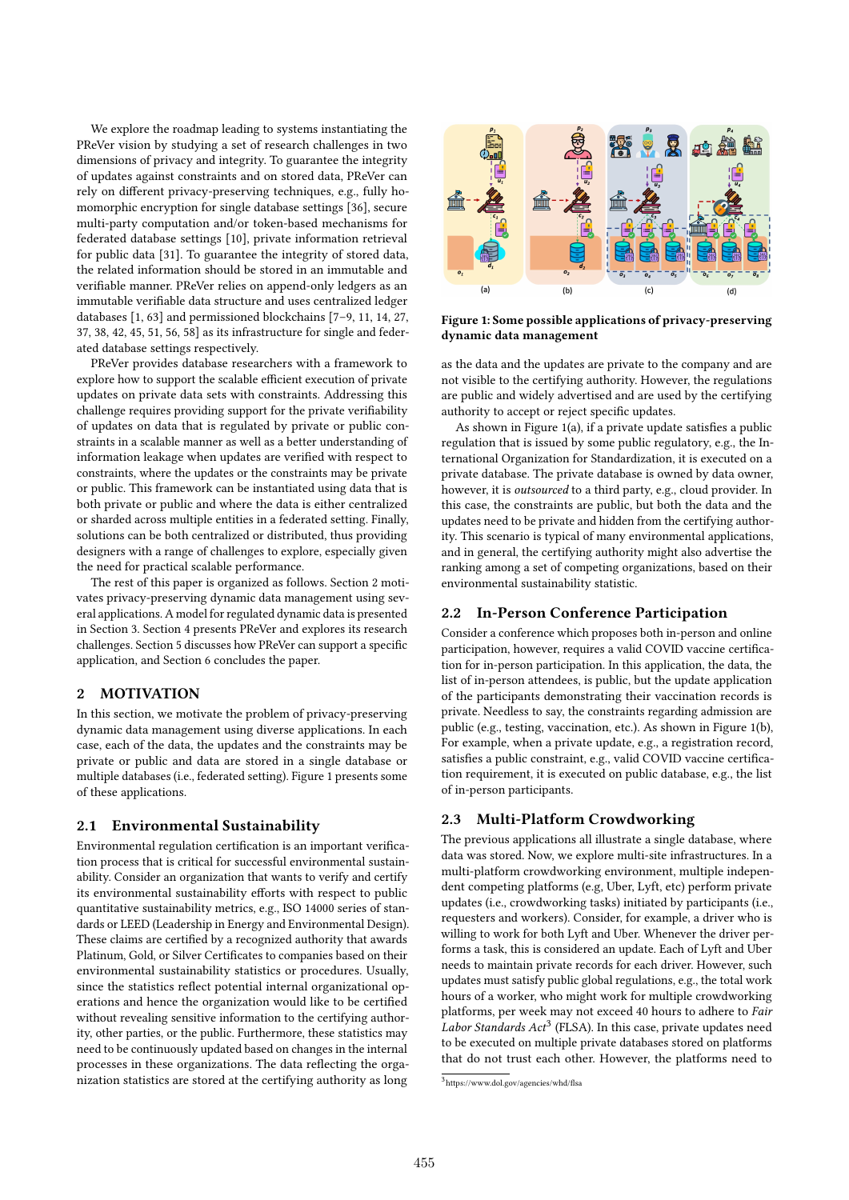We explore the roadmap leading to systems instantiating the PReVer vision by studying a set of research challenges in two dimensions of privacy and integrity. To guarantee the integrity of updates against constraints and on stored data, PReVer can rely on different privacy-preserving techniques, e.g., fully homomorphic encryption for single database settings [36], secure multi-party computation and/or token-based mechanisms for federated database settings [10], private information retrieval for public data [31]. To guarantee the integrity of stored data, the related information should be stored in an immutable and verifiable manner. PReVer relies on append-only ledgers as an immutable verifiable data structure and uses centralized ledger databases [1, 63] and permissioned blockchains [7–9, 11, 14, 27, 37, 38, 42, 45, 51, 56, 58] as its infrastructure for single and federated database settings respectively.

PReVer provides database researchers with a framework to explore how to support the scalable efficient execution of private updates on private data sets with constraints. Addressing this challenge requires providing support for the private verifiability of updates on data that is regulated by private or public constraints in a scalable manner as well as a better understanding of information leakage when updates are verified with respect to constraints, where the updates or the constraints may be private or public. This framework can be instantiated using data that is both private or public and where the data is either centralized or sharded across multiple entities in a federated setting. Finally, solutions can be both centralized or distributed, thus providing designers with a range of challenges to explore, especially given the need for practical scalable performance.

The rest of this paper is organized as follows. Section 2 motivates privacy-preserving dynamic data management using several applications. A model for regulated dynamic data is presented in Section 3. Section 4 presents PReVer and explores its research challenges. Section 5 discusses how PReVer can support a specific application, and Section 6 concludes the paper.

# 2 MOTIVATION

In this section, we motivate the problem of privacy-preserving dynamic data management using diverse applications. In each case, each of the data, the updates and the constraints may be private or public and data are stored in a single database or multiple databases (i.e., federated setting). Figure 1 presents some of these applications.

### 2.1 Environmental Sustainability

Environmental regulation certification is an important verification process that is critical for successful environmental sustainability. Consider an organization that wants to verify and certify its environmental sustainability efforts with respect to public quantitative sustainability metrics, e.g., ISO 14000 series of standards or LEED (Leadership in Energy and Environmental Design). These claims are certified by a recognized authority that awards Platinum, Gold, or Silver Certificates to companies based on their environmental sustainability statistics or procedures. Usually, since the statistics reflect potential internal organizational operations and hence the organization would like to be certified without revealing sensitive information to the certifying authority, other parties, or the public. Furthermore, these statistics may need to be continuously updated based on changes in the internal processes in these organizations. The data reflecting the organization statistics are stored at the certifying authority as long



Figure 1: Some possible applications of privacy-preserving dynamic data management

as the data and the updates are private to the company and are not visible to the certifying authority. However, the regulations are public and widely advertised and are used by the certifying authority to accept or reject specific updates.

As shown in Figure 1(a), if a private update satisfies a public regulation that is issued by some public regulatory, e.g., the International Organization for Standardization, it is executed on a private database. The private database is owned by data owner, however, it is outsourced to a third party, e.g., cloud provider. In this case, the constraints are public, but both the data and the updates need to be private and hidden from the certifying authority. This scenario is typical of many environmental applications, and in general, the certifying authority might also advertise the ranking among a set of competing organizations, based on their environmental sustainability statistic.

## 2.2 In-Person Conference Participation

Consider a conference which proposes both in-person and online participation, however, requires a valid COVID vaccine certification for in-person participation. In this application, the data, the list of in-person attendees, is public, but the update application of the participants demonstrating their vaccination records is private. Needless to say, the constraints regarding admission are public (e.g., testing, vaccination, etc.). As shown in Figure 1(b), For example, when a private update, e.g., a registration record, satisfies a public constraint, e.g., valid COVID vaccine certification requirement, it is executed on public database, e.g., the list of in-person participants.

### 2.3 Multi-Platform Crowdworking

The previous applications all illustrate a single database, where data was stored. Now, we explore multi-site infrastructures. In a multi-platform crowdworking environment, multiple independent competing platforms (e.g, Uber, Lyft, etc) perform private updates (i.e., crowdworking tasks) initiated by participants (i.e., requesters and workers). Consider, for example, a driver who is willing to work for both Lyft and Uber. Whenever the driver performs a task, this is considered an update. Each of Lyft and Uber needs to maintain private records for each driver. However, such updates must satisfy public global regulations, e.g., the total work hours of a worker, who might work for multiple crowdworking platforms, per week may not exceed 40 hours to adhere to Fair Labor Standards Act<sup>3</sup> (FLSA). In this case, private updates need to be executed on multiple private databases stored on platforms that do not trust each other. However, the platforms need to

<sup>3</sup> https://www.dol.gov/agencies/whd/flsa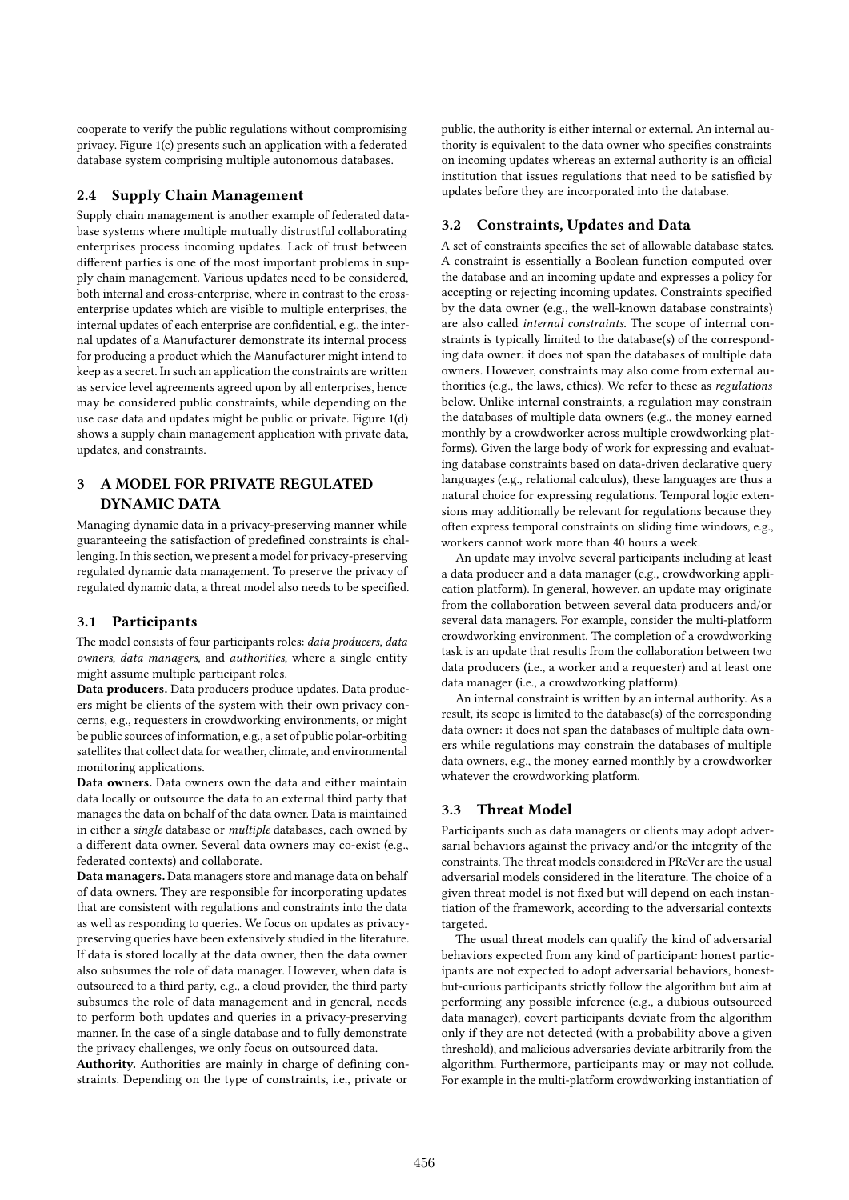cooperate to verify the public regulations without compromising privacy. Figure 1(c) presents such an application with a federated database system comprising multiple autonomous databases.

## 2.4 Supply Chain Management

Supply chain management is another example of federated database systems where multiple mutually distrustful collaborating enterprises process incoming updates. Lack of trust between different parties is one of the most important problems in supply chain management. Various updates need to be considered, both internal and cross-enterprise, where in contrast to the crossenterprise updates which are visible to multiple enterprises, the internal updates of each enterprise are confidential, e.g., the internal updates of a Manufacturer demonstrate its internal process for producing a product which the Manufacturer might intend to keep as a secret. In such an application the constraints are written as service level agreements agreed upon by all enterprises, hence may be considered public constraints, while depending on the use case data and updates might be public or private. Figure 1(d) shows a supply chain management application with private data, updates, and constraints.

# 3 A MODEL FOR PRIVATE REGULATED DYNAMIC DATA

Managing dynamic data in a privacy-preserving manner while guaranteeing the satisfaction of predefined constraints is challenging. In this section, we present a model for privacy-preserving regulated dynamic data management. To preserve the privacy of regulated dynamic data, a threat model also needs to be specified.

# 3.1 Participants

The model consists of four participants roles: data producers, data owners, data managers, and authorities, where a single entity might assume multiple participant roles.

Data producers. Data producers produce updates. Data producers might be clients of the system with their own privacy concerns, e.g., requesters in crowdworking environments, or might be public sources of information, e.g., a set of public polar-orbiting satellites that collect data for weather, climate, and environmental monitoring applications.

Data owners. Data owners own the data and either maintain data locally or outsource the data to an external third party that manages the data on behalf of the data owner. Data is maintained in either a single database or multiple databases, each owned by a different data owner. Several data owners may co-exist (e.g., federated contexts) and collaborate.

Data managers. Data managers store and manage data on behalf of data owners. They are responsible for incorporating updates that are consistent with regulations and constraints into the data as well as responding to queries. We focus on updates as privacypreserving queries have been extensively studied in the literature. If data is stored locally at the data owner, then the data owner also subsumes the role of data manager. However, when data is outsourced to a third party, e.g., a cloud provider, the third party subsumes the role of data management and in general, needs to perform both updates and queries in a privacy-preserving manner. In the case of a single database and to fully demonstrate the privacy challenges, we only focus on outsourced data.

Authority. Authorities are mainly in charge of defining constraints. Depending on the type of constraints, i.e., private or

public, the authority is either internal or external. An internal authority is equivalent to the data owner who specifies constraints on incoming updates whereas an external authority is an official institution that issues regulations that need to be satisfied by updates before they are incorporated into the database.

# 3.2 Constraints, Updates and Data

A set of constraints specifies the set of allowable database states. A constraint is essentially a Boolean function computed over the database and an incoming update and expresses a policy for accepting or rejecting incoming updates. Constraints specified by the data owner (e.g., the well-known database constraints) are also called internal constraints. The scope of internal constraints is typically limited to the database(s) of the corresponding data owner: it does not span the databases of multiple data owners. However, constraints may also come from external authorities (e.g., the laws, ethics). We refer to these as regulations below. Unlike internal constraints, a regulation may constrain the databases of multiple data owners (e.g., the money earned monthly by a crowdworker across multiple crowdworking platforms). Given the large body of work for expressing and evaluating database constraints based on data-driven declarative query languages (e.g., relational calculus), these languages are thus a natural choice for expressing regulations. Temporal logic extensions may additionally be relevant for regulations because they often express temporal constraints on sliding time windows, e.g., workers cannot work more than 40 hours a week.

An update may involve several participants including at least a data producer and a data manager (e.g., crowdworking application platform). In general, however, an update may originate from the collaboration between several data producers and/or several data managers. For example, consider the multi-platform crowdworking environment. The completion of a crowdworking task is an update that results from the collaboration between two data producers (i.e., a worker and a requester) and at least one data manager (i.e., a crowdworking platform).

An internal constraint is written by an internal authority. As a result, its scope is limited to the database(s) of the corresponding data owner: it does not span the databases of multiple data owners while regulations may constrain the databases of multiple data owners, e.g., the money earned monthly by a crowdworker whatever the crowdworking platform.

## 3.3 Threat Model

Participants such as data managers or clients may adopt adversarial behaviors against the privacy and/or the integrity of the constraints. The threat models considered in PReVer are the usual adversarial models considered in the literature. The choice of a given threat model is not fixed but will depend on each instantiation of the framework, according to the adversarial contexts targeted.

The usual threat models can qualify the kind of adversarial behaviors expected from any kind of participant: honest participants are not expected to adopt adversarial behaviors, honestbut-curious participants strictly follow the algorithm but aim at performing any possible inference (e.g., a dubious outsourced data manager), covert participants deviate from the algorithm only if they are not detected (with a probability above a given threshold), and malicious adversaries deviate arbitrarily from the algorithm. Furthermore, participants may or may not collude. For example in the multi-platform crowdworking instantiation of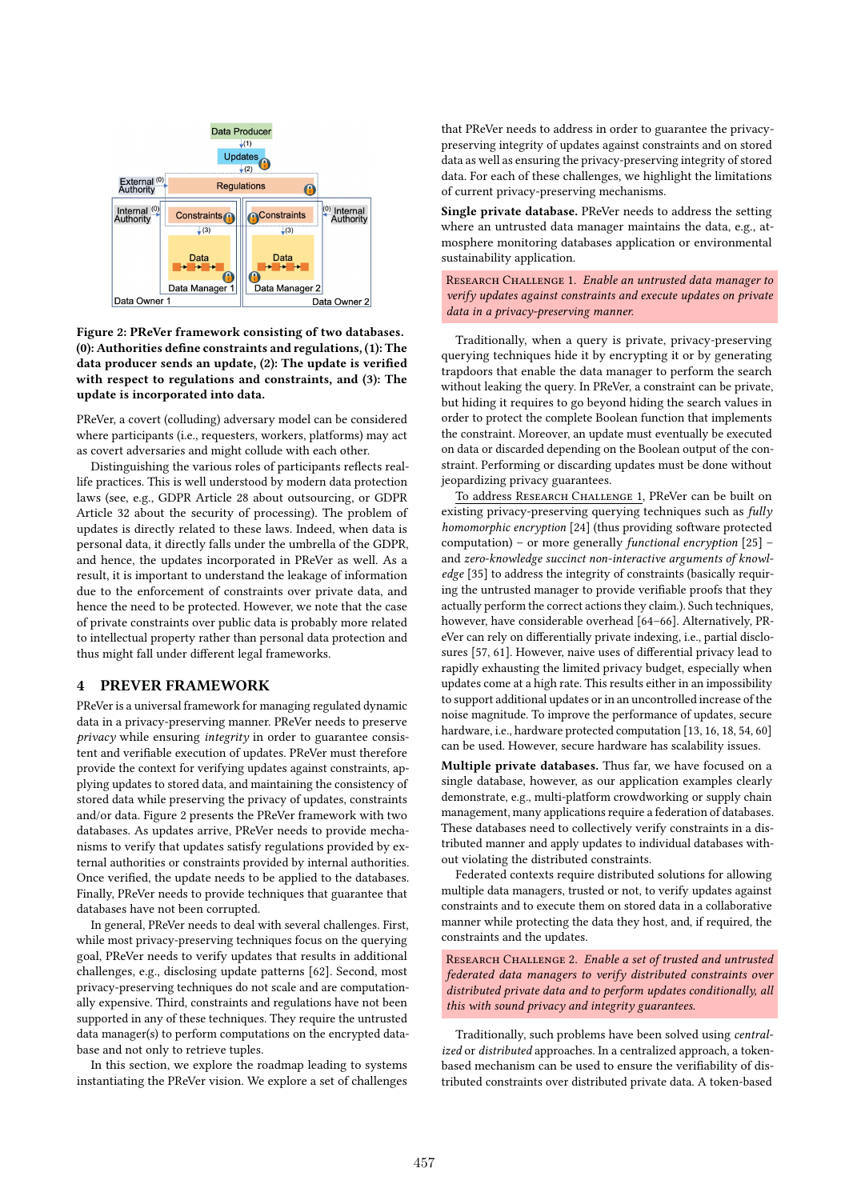

Figure 2: PReVer framework consisting of two databases. (0): Authorities define constraints and regulations, (1): The data producer sends an update, (2): The update is verified with respect to regulations and constraints, and (3): The update is incorporated into data.

PReVer, a covert (colluding) adversary model can be considered where participants (i.e., requesters, workers, platforms) may act as covert adversaries and might collude with each other.

Distinguishing the various roles of participants reflects reallife practices. This is well understood by modern data protection laws (see, e.g., GDPR Article 28 about outsourcing, or GDPR Article 32 about the security of processing). The problem of updates is directly related to these laws. Indeed, when data is personal data, it directly falls under the umbrella of the GDPR, and hence, the updates incorporated in PReVer as well. As a result, it is important to understand the leakage of information due to the enforcement of constraints over private data, and hence the need to be protected. However, we note that the case of private constraints over public data is probably more related to intellectual property rather than personal data protection and thus might fall under different legal frameworks.

# 4 PREVER FRAMEWORK

PReVer is a universal framework for managing regulated dynamic data in a privacy-preserving manner. PReVer needs to preserve privacy while ensuring integrity in order to guarantee consistent and verifiable execution of updates. PReVer must therefore provide the context for verifying updates against constraints, applying updates to stored data, and maintaining the consistency of stored data while preserving the privacy of updates, constraints and/or data. Figure 2 presents the PReVer framework with two databases. As updates arrive, PReVer needs to provide mechanisms to verify that updates satisfy regulations provided by external authorities or constraints provided by internal authorities. Once verified, the update needs to be applied to the databases. Finally, PReVer needs to provide techniques that guarantee that databases have not been corrupted.

In general, PReVer needs to deal with several challenges. First, while most privacy-preserving techniques focus on the querying goal, PReVer needs to verify updates that results in additional challenges, e.g., disclosing update patterns [62]. Second, most privacy-preserving techniques do not scale and are computationally expensive. Third, constraints and regulations have not been supported in any of these techniques. They require the untrusted data manager(s) to perform computations on the encrypted database and not only to retrieve tuples.

In this section, we explore the roadmap leading to systems instantiating the PReVer vision. We explore a set of challenges

that PReVer needs to address in order to guarantee the privacypreserving integrity of updates against constraints and on stored data as well as ensuring the privacy-preserving integrity of stored data. For each of these challenges, we highlight the limitations of current privacy-preserving mechanisms.

Single private database. PReVer needs to address the setting where an untrusted data manager maintains the data, e.g., atmosphere monitoring databases application or environmental sustainability application.

RESEARCH CHALLENGE 1. Enable an untrusted data manager to verify updates against constraints and execute updates on private data in a privacy-preserving manner.

Traditionally, when a query is private, privacy-preserving querying techniques hide it by encrypting it or by generating trapdoors that enable the data manager to perform the search without leaking the query. In PReVer, a constraint can be private, but hiding it requires to go beyond hiding the search values in order to protect the complete Boolean function that implements the constraint. Moreover, an update must eventually be executed on data or discarded depending on the Boolean output of the constraint. Performing or discarding updates must be done without jeopardizing privacy guarantees.

To address Research Challenge 1, PReVer can be built on existing privacy-preserving querying techniques such as fully homomorphic encryption [24] (thus providing software protected computation) – or more generally functional encryption [25] – and zero-knowledge succinct non-interactive arguments of knowledge [35] to address the integrity of constraints (basically requiring the untrusted manager to provide verifiable proofs that they actually perform the correct actions they claim.). Such techniques, however, have considerable overhead [64–66]. Alternatively, PReVer can rely on differentially private indexing, i.e., partial disclosures [57, 61]. However, naive uses of differential privacy lead to rapidly exhausting the limited privacy budget, especially when updates come at a high rate. This results either in an impossibility to support additional updates or in an uncontrolled increase of the noise magnitude. To improve the performance of updates, secure hardware, i.e., hardware protected computation [13, 16, 18, 54, 60] can be used. However, secure hardware has scalability issues.

Multiple private databases. Thus far, we have focused on a single database, however, as our application examples clearly demonstrate, e.g., multi-platform crowdworking or supply chain management, many applications require a federation of databases. These databases need to collectively verify constraints in a distributed manner and apply updates to individual databases without violating the distributed constraints.

Federated contexts require distributed solutions for allowing multiple data managers, trusted or not, to verify updates against constraints and to execute them on stored data in a collaborative manner while protecting the data they host, and, if required, the constraints and the updates.

RESEARCH CHALLENGE 2. Enable a set of trusted and untrusted federated data managers to verify distributed constraints over distributed private data and to perform updates conditionally, all this with sound privacy and integrity guarantees.

Traditionally, such problems have been solved using centralized or distributed approaches. In a centralized approach, a tokenbased mechanism can be used to ensure the verifiability of distributed constraints over distributed private data. A token-based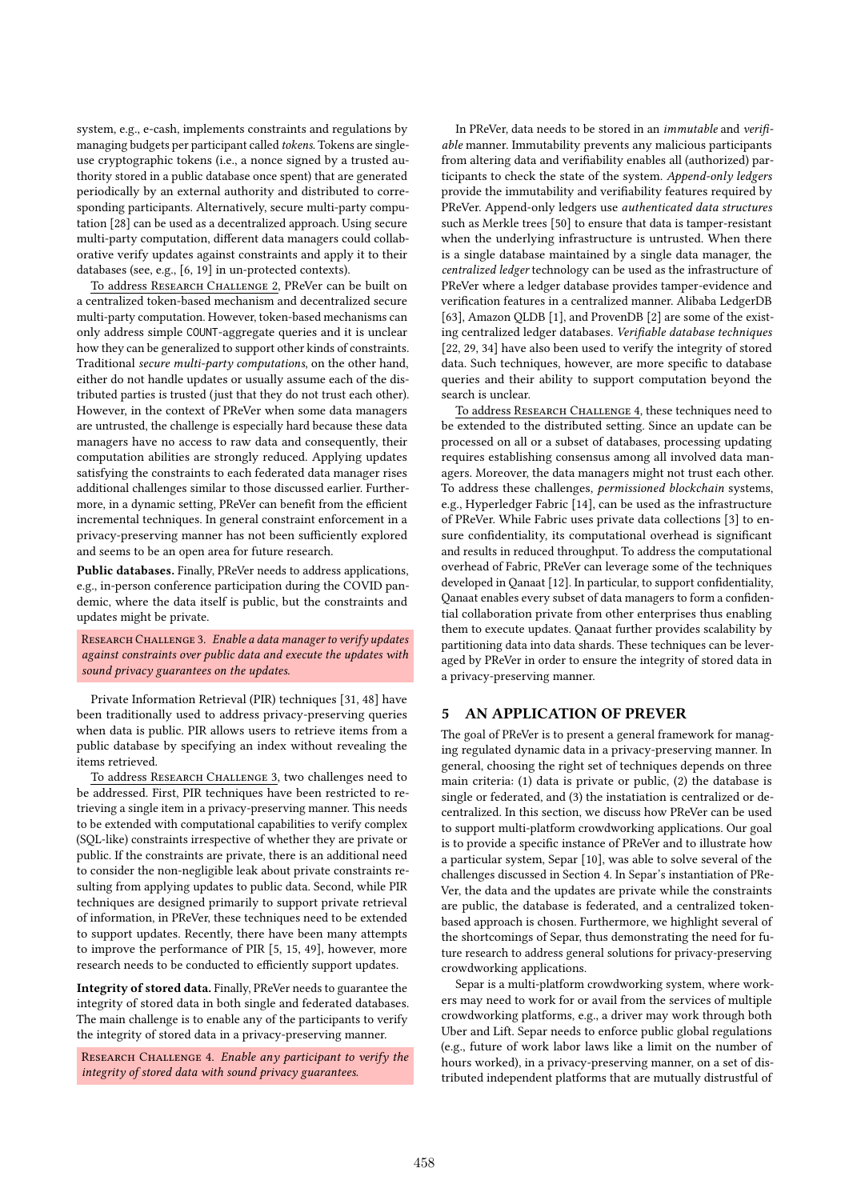system, e.g., e-cash, implements constraints and regulations by managing budgets per participant called tokens. Tokens are singleuse cryptographic tokens (i.e., a nonce signed by a trusted authority stored in a public database once spent) that are generated periodically by an external authority and distributed to corresponding participants. Alternatively, secure multi-party computation [28] can be used as a decentralized approach. Using secure multi-party computation, different data managers could collaborative verify updates against constraints and apply it to their databases (see, e.g., [6, 19] in un-protected contexts).

To address RESEARCH CHALLENGE 2, PReVer can be built on a centralized token-based mechanism and decentralized secure multi-party computation. However, token-based mechanisms can only address simple COUNT-aggregate queries and it is unclear how they can be generalized to support other kinds of constraints. Traditional secure multi-party computations, on the other hand, either do not handle updates or usually assume each of the distributed parties is trusted (just that they do not trust each other). However, in the context of PReVer when some data managers are untrusted, the challenge is especially hard because these data managers have no access to raw data and consequently, their computation abilities are strongly reduced. Applying updates satisfying the constraints to each federated data manager rises additional challenges similar to those discussed earlier. Furthermore, in a dynamic setting, PReVer can benefit from the efficient incremental techniques. In general constraint enforcement in a privacy-preserving manner has not been sufficiently explored and seems to be an open area for future research.

Public databases. Finally, PReVer needs to address applications, e.g., in-person conference participation during the COVID pandemic, where the data itself is public, but the constraints and updates might be private.

RESEARCH CHALLENGE 3. Enable a data manager to verify updates against constraints over public data and execute the updates with sound privacy guarantees on the updates.

Private Information Retrieval (PIR) techniques [31, 48] have been traditionally used to address privacy-preserving queries when data is public. PIR allows users to retrieve items from a public database by specifying an index without revealing the items retrieved.

To address RESEARCH CHALLENGE 3, two challenges need to be addressed. First, PIR techniques have been restricted to retrieving a single item in a privacy-preserving manner. This needs to be extended with computational capabilities to verify complex (SQL-like) constraints irrespective of whether they are private or public. If the constraints are private, there is an additional need to consider the non-negligible leak about private constraints resulting from applying updates to public data. Second, while PIR techniques are designed primarily to support private retrieval of information, in PReVer, these techniques need to be extended to support updates. Recently, there have been many attempts to improve the performance of PIR [5, 15, 49], however, more research needs to be conducted to efficiently support updates.

Integrity of stored data. Finally, PReVer needs to guarantee the integrity of stored data in both single and federated databases. The main challenge is to enable any of the participants to verify the integrity of stored data in a privacy-preserving manner.

RESEARCH CHALLENGE 4. Enable any participant to verify the integrity of stored data with sound privacy guarantees.

In PReVer, data needs to be stored in an immutable and verifiable manner. Immutability prevents any malicious participants from altering data and verifiability enables all (authorized) participants to check the state of the system. Append-only ledgers provide the immutability and verifiability features required by PReVer. Append-only ledgers use authenticated data structures such as Merkle trees [50] to ensure that data is tamper-resistant when the underlying infrastructure is untrusted. When there is a single database maintained by a single data manager, the centralized ledger technology can be used as the infrastructure of PReVer where a ledger database provides tamper-evidence and verification features in a centralized manner. Alibaba LedgerDB [63], Amazon QLDB [1], and ProvenDB [2] are some of the existing centralized ledger databases. Verifiable database techniques [22, 29, 34] have also been used to verify the integrity of stored data. Such techniques, however, are more specific to database queries and their ability to support computation beyond the search is unclear.

To address RESEARCH CHALLENGE 4, these techniques need to be extended to the distributed setting. Since an update can be processed on all or a subset of databases, processing updating requires establishing consensus among all involved data managers. Moreover, the data managers might not trust each other. To address these challenges, permissioned blockchain systems, e.g., Hyperledger Fabric [14], can be used as the infrastructure of PReVer. While Fabric uses private data collections [3] to ensure confidentiality, its computational overhead is significant and results in reduced throughput. To address the computational overhead of Fabric, PReVer can leverage some of the techniques developed in Qanaat [12]. In particular, to support confidentiality, Qanaat enables every subset of data managers to form a confidential collaboration private from other enterprises thus enabling them to execute updates. Qanaat further provides scalability by partitioning data into data shards. These techniques can be leveraged by PReVer in order to ensure the integrity of stored data in a privacy-preserving manner.

# 5 AN APPLICATION OF PREVER

The goal of PReVer is to present a general framework for managing regulated dynamic data in a privacy-preserving manner. In general, choosing the right set of techniques depends on three main criteria: (1) data is private or public, (2) the database is single or federated, and (3) the instatiation is centralized or decentralized. In this section, we discuss how PReVer can be used to support multi-platform crowdworking applications. Our goal is to provide a specific instance of PReVer and to illustrate how a particular system, Separ [10], was able to solve several of the challenges discussed in Section 4. In Separ's instantiation of PRe-Ver, the data and the updates are private while the constraints are public, the database is federated, and a centralized tokenbased approach is chosen. Furthermore, we highlight several of the shortcomings of Separ, thus demonstrating the need for future research to address general solutions for privacy-preserving crowdworking applications.

Separ is a multi-platform crowdworking system, where workers may need to work for or avail from the services of multiple crowdworking platforms, e.g., a driver may work through both Uber and Lift. Separ needs to enforce public global regulations (e.g., future of work labor laws like a limit on the number of hours worked), in a privacy-preserving manner, on a set of distributed independent platforms that are mutually distrustful of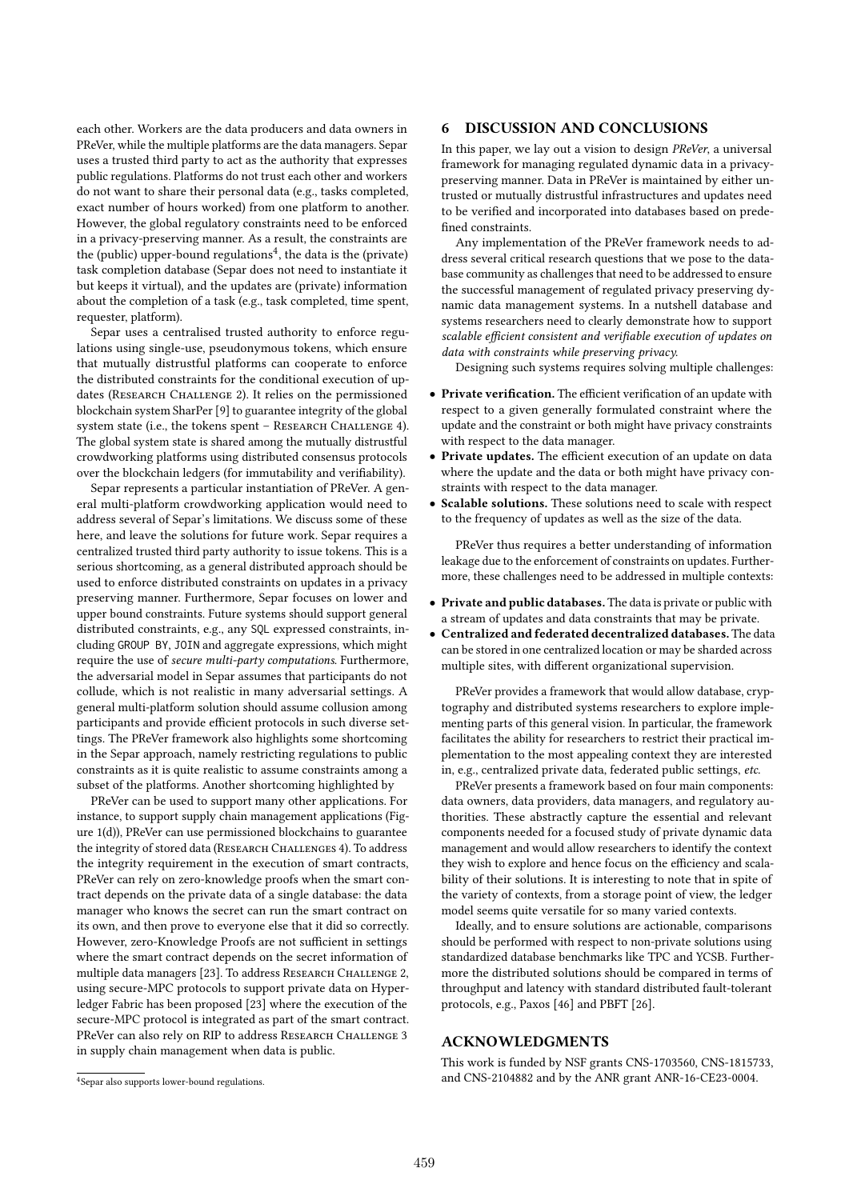each other. Workers are the data producers and data owners in PReVer, while the multiple platforms are the data managers. Separ uses a trusted third party to act as the authority that expresses public regulations. Platforms do not trust each other and workers do not want to share their personal data (e.g., tasks completed, exact number of hours worked) from one platform to another. However, the global regulatory constraints need to be enforced in a privacy-preserving manner. As a result, the constraints are the (public) upper-bound regulations<sup>4</sup>, the data is the (private) task completion database (Separ does not need to instantiate it but keeps it virtual), and the updates are (private) information about the completion of a task (e.g., task completed, time spent, requester, platform).

Separ uses a centralised trusted authority to enforce regulations using single-use, pseudonymous tokens, which ensure that mutually distrustful platforms can cooperate to enforce the distributed constraints for the conditional execution of updates (RESEARCH CHALLENGE 2). It relies on the permissioned blockchain system SharPer [9] to guarantee integrity of the global system state (i.e., the tokens spent - RESEARCH CHALLENGE 4). The global system state is shared among the mutually distrustful crowdworking platforms using distributed consensus protocols over the blockchain ledgers (for immutability and verifiability).

Separ represents a particular instantiation of PReVer. A general multi-platform crowdworking application would need to address several of Separ's limitations. We discuss some of these here, and leave the solutions for future work. Separ requires a centralized trusted third party authority to issue tokens. This is a serious shortcoming, as a general distributed approach should be used to enforce distributed constraints on updates in a privacy preserving manner. Furthermore, Separ focuses on lower and upper bound constraints. Future systems should support general distributed constraints, e.g., any SQL expressed constraints, including GROUP BY, JOIN and aggregate expressions, which might require the use of secure multi-party computations. Furthermore, the adversarial model in Separ assumes that participants do not collude, which is not realistic in many adversarial settings. A general multi-platform solution should assume collusion among participants and provide efficient protocols in such diverse settings. The PReVer framework also highlights some shortcoming in the Separ approach, namely restricting regulations to public constraints as it is quite realistic to assume constraints among a subset of the platforms. Another shortcoming highlighted by

PReVer can be used to support many other applications. For instance, to support supply chain management applications (Figure 1(d)), PReVer can use permissioned blockchains to guarantee the integrity of stored data (RESEARCH CHALLENGES 4). To address the integrity requirement in the execution of smart contracts, PReVer can rely on zero-knowledge proofs when the smart contract depends on the private data of a single database: the data manager who knows the secret can run the smart contract on its own, and then prove to everyone else that it did so correctly. However, zero-Knowledge Proofs are not sufficient in settings where the smart contract depends on the secret information of multiple data managers [23]. To address RESEARCH CHALLENGE 2, using secure-MPC protocols to support private data on Hyperledger Fabric has been proposed [23] where the execution of the secure-MPC protocol is integrated as part of the smart contract. PReVer can also rely on RIP to address RESEARCH CHALLENGE 3 in supply chain management when data is public.

# 6 DISCUSSION AND CONCLUSIONS

In this paper, we lay out a vision to design PReVer, a universal framework for managing regulated dynamic data in a privacypreserving manner. Data in PReVer is maintained by either untrusted or mutually distrustful infrastructures and updates need to be verified and incorporated into databases based on predefined constraints.

Any implementation of the PReVer framework needs to address several critical research questions that we pose to the database community as challenges that need to be addressed to ensure the successful management of regulated privacy preserving dynamic data management systems. In a nutshell database and systems researchers need to clearly demonstrate how to support scalable efficient consistent and verifiable execution of updates on data with constraints while preserving privacy.

Designing such systems requires solving multiple challenges:

- Private verification. The efficient verification of an update with respect to a given generally formulated constraint where the update and the constraint or both might have privacy constraints with respect to the data manager.
- Private updates. The efficient execution of an update on data where the update and the data or both might have privacy constraints with respect to the data manager.
- Scalable solutions. These solutions need to scale with respect to the frequency of updates as well as the size of the data.

PReVer thus requires a better understanding of information leakage due to the enforcement of constraints on updates. Furthermore, these challenges need to be addressed in multiple contexts:

- Private and public databases. The data is private or public with a stream of updates and data constraints that may be private.
- Centralized and federated decentralized databases. The data can be stored in one centralized location or may be sharded across multiple sites, with different organizational supervision.

PReVer provides a framework that would allow database, cryptography and distributed systems researchers to explore implementing parts of this general vision. In particular, the framework facilitates the ability for researchers to restrict their practical implementation to the most appealing context they are interested in, e.g., centralized private data, federated public settings, etc.

PReVer presents a framework based on four main components: data owners, data providers, data managers, and regulatory authorities. These abstractly capture the essential and relevant components needed for a focused study of private dynamic data management and would allow researchers to identify the context they wish to explore and hence focus on the efficiency and scalability of their solutions. It is interesting to note that in spite of the variety of contexts, from a storage point of view, the ledger model seems quite versatile for so many varied contexts.

Ideally, and to ensure solutions are actionable, comparisons should be performed with respect to non-private solutions using standardized database benchmarks like TPC and YCSB. Furthermore the distributed solutions should be compared in terms of throughput and latency with standard distributed fault-tolerant protocols, e.g., Paxos [46] and PBFT [26].

## ACKNOWLEDGMENTS

This work is funded by NSF grants CNS-1703560, CNS-1815733, and CNS-2104882 and by the ANR grant ANR-16-CE23-0004.

<sup>4</sup> Separ also supports lower-bound regulations.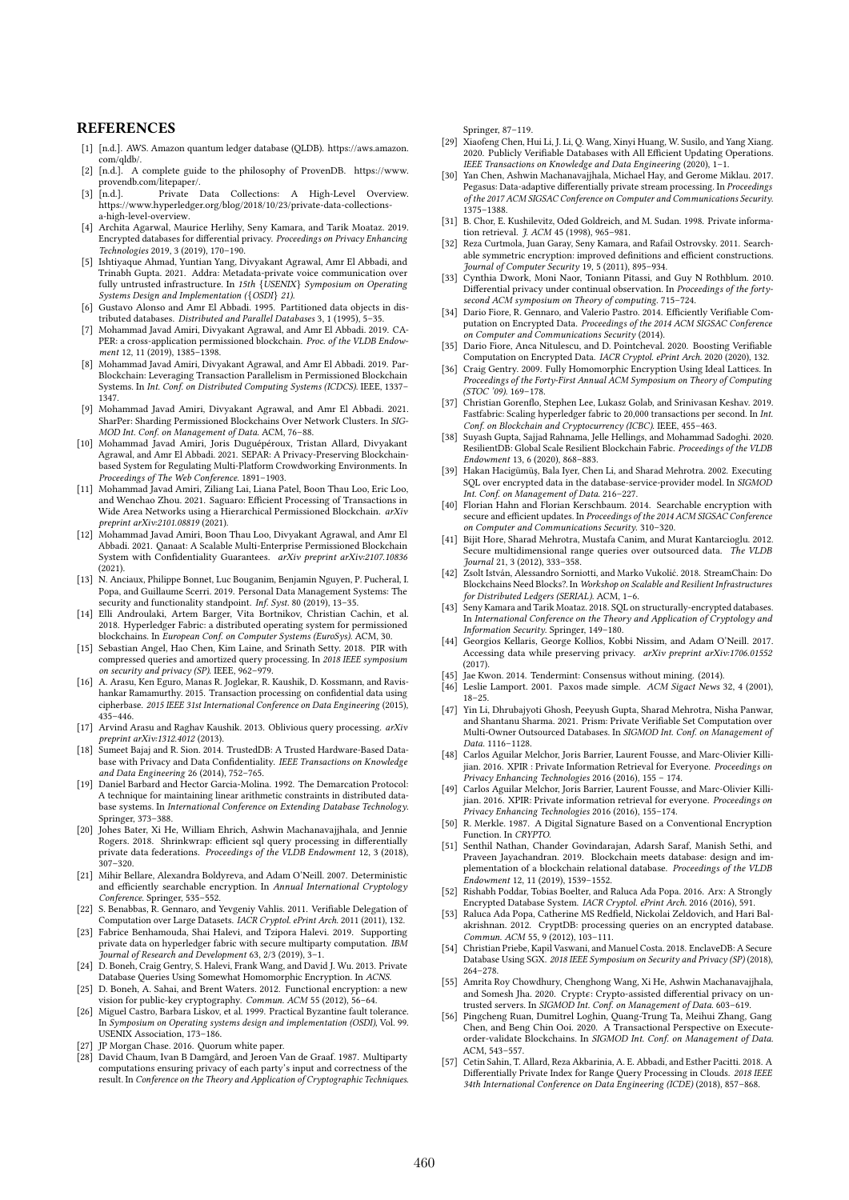### **REFERENCES**

- [1] [n.d.]. AWS. Amazon quantum ledger database (QLDB). https://aws.amazon. com/qldb/.
- [2] [n.d.]. A complete guide to the philosophy of ProvenDB. https://www. provendb.com/litepaper/.
- [3]  $[n.d.]$ . Private Data Collections: A High-Level Overview. https://www.hyperledger.org/blog/2018/10/23/private-data-collectionsa-high-level-overview.
- [4] Archita Agarwal, Maurice Herlihy, Seny Kamara, and Tarik Moataz. 2019. Encrypted databases for differential privacy. Proceedings on Privacy Enhancing Technologies 2019, 3 (2019), 170–190.
- [5] Ishtiyaque Ahmad, Yuntian Yang, Divyakant Agrawal, Amr El Abbadi, and Trinabh Gupta. 2021. Addra: Metadata-private voice communication over fully untrusted infrastructure. In 15th {USENIX} Symposium on Operating Systems Design and Implementation ({OSDI} 21).
- [6] Gustavo Alonso and Amr El Abbadi. 1995. Partitioned data objects in distributed databases. Distributed and Parallel Databases 3, 1 (1995), 5–35.
- [7] Mohammad Javad Amiri, Divyakant Agrawal, and Amr El Abbadi. 2019. CA-PER: a cross-application permissioned blockchain. Proc. of the VLDB Endowment 12, 11 (2019), 1385-1398.
- [8] Mohammad Javad Amiri, Divyakant Agrawal, and Amr El Abbadi. 2019. Par-Blockchain: Leveraging Transaction Parallelism in Permissioned Blockchain Systems. In Int. Conf. on Distributed Computing Systems (ICDCS). IEEE, 1337– 1347.
- [9] Mohammad Javad Amiri, Divyakant Agrawal, and Amr El Abbadi. 2021. SharPer: Sharding Permissioned Blockchains Over Network Clusters. In SIG-MOD Int. Conf. on Management of Data. ACM, 76–88.
- [10] Mohammad Javad Amiri, Joris Duguépéroux, Tristan Allard, Divyakant Agrawal, and Amr El Abbadi. 2021. SEPAR: A Privacy-Preserving Blockchainbased System for Regulating Multi-Platform Crowdworking Environments. In Proceedings of The Web Conference. 1891–1903.
- [11] Mohammad Javad Amiri, Ziliang Lai, Liana Patel, Boon Thau Loo, Eric Loo, and Wenchao Zhou. 2021. Saguaro: Efficient Processing of Transactions in Wide Area Networks using a Hierarchical Permissioned Blockchain. arXiv preprint arXiv:2101.08819 (2021).
- [12] Mohammad Javad Amiri, Boon Thau Loo, Divyakant Agrawal, and Amr El Abbadi. 2021. Qanaat: A Scalable Multi-Enterprise Permissioned Blockchain<br>System with Confidentiality Guarantees. arXiv preprint arXiv:2107.10836  $(2021)$ .
- [13] N. Anciaux, Philippe Bonnet, Luc Bouganim, Benjamin Nguyen, P. Pucheral, I. Popa, and Guillaume Scerri. 2019. Personal Data Management Systems: The security and functionality standpoint. Inf. Syst. 80 (2019), 13-35.
- [14] Elli Androulaki, Artem Barger, Vita Bortnikov, Christian Cachin, et al. 2018. Hyperledger Fabric: a distributed operating system for permissioned blockchains. In European Conf. on Computer Systems (EuroSys). ACM, 30.
- [15] Sebastian Angel, Hao Chen, Kim Laine, and Srinath Setty. 2018. PIR with compressed queries and amortized query processing. In 2018 IEEE symposium on security and privacy (SP). IEEE, 962–979.
- [16] A. Arasu, Ken Eguro, Manas R. Joglekar, R. Kaushik, D. Kossmann, and Ravishankar Ramamurthy. 2015. Transaction processing on confidential data using cipherbase. 2015 IEEE 31st International Conference on Data Engineering (2015),  $435 - 446$ .
- [17] Arvind Arasu and Raghav Kaushik. 2013. Oblivious query processing. arXiv preprint arXiv:1312.4012 (2013).
- [18] Sumeet Bajaj and R. Sion. 2014. TrustedDB: A Trusted Hardware-Based Database with Privacy and Data Confidentiality. IEEE Transactions on Knowledge and Data Engineering 26 (2014), 752–765.
- [19] Daniel Barbard and Hector Garcia-Molina. 1992. The Demarcation Protocol: A technique for maintaining linear arithmetic constraints in distributed database systems. In International Conference on Extending Database Technology. Springer, 373–388.
- [20] Johes Bater, Xi He, William Ehrich, Ashwin Machanavajjhala, and Jennie Rogers. 2018. Shrinkwrap: efficient sql query processing in differentially private data federations. Proceedings of the VLDB Endowment 12, 3 (2018), **.**<br>307–320.
- [21] Mihir Bellare, Alexandra Boldyreva, and Adam O'Neill. 2007. Deterministic and efficiently searchable encryption. In Annual International Cryptology Conference. Springer, 535–552.
- [22] S. Benabbas, R. Gennaro, and Yevgeniy Vahlis. 2011. Verifiable Delegation of Computation over Large Datasets. IACR Cryptol. ePrint Arch. 2011 (2011), 132.
- [23] Fabrice Benhamouda, Shai Halevi, and Tzipora Halevi. 2019. Supporting private data on hyperledger fabric with secure multiparty computation. IBM Journal of Research and Development 63, 2/3 (2019), 3–1.
- [24] D. Boneh, Craig Gentry, S. Halevi, Frank Wang, and David J. Wu. 2013. Private Database Queries Using Somewhat Homomorphic Encryption. In ACNS. [25] D. Boneh, A. Sahai, and Brent Waters. 2012. Functional encryption: a new
- vision for public-key cryptography. Commun. ACM 55 (2012), 56–64.
- [26] Miguel Castro, Barbara Liskov, et al. 1999. Practical Byzantine fault tolerance. In Symposium on Operating systems design and implementation (OSDI), Vol. 99. USENIX Association, 173–186.
- 
- [27] JP Morgan Chase. 2016. Quorum white paper. [28] David Chaum, Ivan B Damgård, and Jeroen Van de Graaf. 1987. Multiparty computations ensuring privacy of each party's input and correctness of the result. In Conference on the Theory and Application of Cryptographic Techniques.

Springer, 87–119.

- [29] Xiaofeng Chen, Hui Li, J. Li, Q. Wang, Xinyi Huang, W. Susilo, and Yang Xiang. 2020. Publicly Verifiable Databases with All Efficient Updating Operations. IEEE Transactions on Knowledge and Data Engineering (2020), 1–1.
- Yan Chen, Ashwin Machanavajjhala, Michael Hay, and Gerome Miklau. 2017. Pegasus: Data-adaptive differentially private stream processing. In Proceedings of the 2017 ACM SIGSAC Conference on Computer and Communications Security. 1375–1388.
- [31] B. Chor, E. Kushilevitz, Oded Goldreich, and M. Sudan. 1998. Private information retrieval. J. ACM 45 (1998), 965–981.
- [32] Reza Curtmola, Juan Garay, Seny Kamara, and Rafail Ostrovsky. 2011. Searchable symmetric encryption: improved definitions and efficient constructions. Journal of Computer Security 19, 5 (2011), 895–934.
- [33] Cynthia Dwork, Moni Naor, Toniann Pitassi, and Guy N Rothblum. 2010. Differential privacy under continual observation. In Proceedings of the fortysecond ACM symposium on Theory of computing. 715–724.
- [34] Dario Fiore, R. Gennaro, and Valerio Pastro. 2014. Efficiently Verifiable Computation on Encrypted Data. Proceedings of the 2014 ACM SIGSAC Conference on Computer and Communications Security (2014).
- [35] Dario Fiore, Anca Nitulescu, and D. Pointcheval. 2020. Boosting Verifiable Computation on Encrypted Data. IACR Cryptol. ePrint Arch. 2020 (2020), 132.
- [36] Craig Gentry. 2009. Fully Homomorphic Encryption Using Ideal Lattices. In Proceedings of the Forty-First Annual ACM Symposium on Theory of Computing (STOC '09). 169–178.
- [37] Christian Gorenflo, Stephen Lee, Lukasz Golab, and Srinivasan Keshav. 2019. Fastfabric: Scaling hyperledger fabric to 20,000 transactions per second. In Int. Conf. on Blockchain and Cryptocurrency (ICBC). IEEE, 455–463.
- [38] Suyash Gupta, Sajjad Rahnama, Jelle Hellings, and Mohammad Sadoghi. 2020. ResilientDB: Global Scale Resilient Blockchain Fabric. Proceedings of the VLDB Endowment 13, 6 (2020), 868–883.
- Hakan Hacigümüş, Bala Iyer, Chen Li, and Sharad Mehrotra. 2002. Executing SQL over encrypted data in the database-service-provider model. In SIGMOD Int. Conf. on Management of Data. 216–227.
- [40] Florian Hahn and Florian Kerschbaum. 2014. Searchable encryption with secure and efficient updates. In Proceedings of the 2014 ACM SIGSAC Conference on Computer and Communications Security. 310–320.
- [41] Bijit Hore, Sharad Mehrotra, Mustafa Canim, and Murat Kantarcioglu. 2012. Secure multidimensional range queries over outsourced data. The VLDB Journal 21, 3 (2012), 333–358.
- [42] Zsolt István, Alessandro Sorniotti, and Marko Vukolić. 2018. StreamChain: Do Blockchains Need Blocks?. In Workshop on Scalable and Resilient Infrastructures for Distributed Ledgers (SERIAL). ACM, 1-6.
- [43] Seny Kamara and Tarik Moataz. 2018. SQL on structurally-encrypted databases. In International Conference on the Theory and Application of Cryptology and Information Security. Springer, 149–180. [44] Georgios Kellaris, George Kollios, Kobbi Nissim, and Adam O'Neill. 2017.
- Accessing data while preserving privacy. arXiv preprint arXiv:1706.01552 (2017).
- [45] Jae Kwon. 2014. Tendermint: Consensus without mining. (2014).
- [46] Leslie Lamport. 2001. Paxos made simple. ACM Sigact News 32, 4 (2001), 18–25.
- [47] Yin Li, Dhrubajyoti Ghosh, Peeyush Gupta, Sharad Mehrotra, Nisha Panwar, and Shantanu Sharma. 2021. Prism: Private Verifiable Set Computation over Multi-Owner Outsourced Databases. In SIGMOD Int. Conf. on Management of Data. 1116–1128.
- [48] Carlos Aguilar Melchor, Joris Barrier, Laurent Fousse, and Marc-Olivier Killijian. 2016. XPIR : Private Information Retrieval for Everyone. Proceedings on Privacy Enhancing Technologies 2016 (2016), 155 – 174.
- [49] Carlos Aguilar Melchor, Joris Barrier, Laurent Fousse, and Marc-Olivier Killijian. 2016. XPIR: Private information retrieval for everyone. Proceedings on Privacy Enhancing Technologies 2016 (2016), 155–174. [50] R. Merkle. 1987. A Digital Signature Based on a Conventional Encryption
- Function. In CRYPTO.
- [51] Senthil Nathan, Chander Govindarajan, Adarsh Saraf, Manish Sethi, and Praveen Jayachandran. 2019. Blockchain meets database: design and implementation of a blockchain relational database. Proceedings of the VLDB <sub>.</sub><br>Endowment 12, 11 (2019), 1539–1552.
- [52] Rishabh Poddar, Tobias Boelter, and Raluca Ada Popa. 2016. Arx: A Strongly Encrypted Database System. IACR Cryptol. ePrint Arch. 2016 (2016), 591.
- [53] Raluca Ada Popa, Catherine MS Redfield, Nickolai Zeldovich, and Hari Balakrishnan. 2012. CryptDB: processing queries on an encrypted database. Commun. ACM 55, 9 (2012), 103–111.
- [54] Christian Priebe, Kapil Vaswani, and Manuel Costa. 2018. EnclaveDB: A Secure Database Using SGX. 2018 IEEE Symposium on Security and Privacy (SP) (2018), 264–278.
- [55] Amrita Roy Chowdhury, Chenghong Wang, Xi He, Ashwin Machanavajjhala, and Somesh Jha. 2020. Crypte: Crypto-assisted differential privacy on untrusted servers. In SIGMOD Int. Conf. on Management of Data. 603–619.
- [56] Pingcheng Ruan, Dumitrel Loghin, Quang-Trung Ta, Meihui Zhang, Gang Chen, and Beng Chin Ooi. 2020. A Transactional Perspective on Executeorder-validate Blockchains. In SIGMOD Int. Conf. on Management of Data. ACM, 543–557.
- [57] Cetin Sahin, T. Allard, Reza Akbarinia, A. E. Abbadi, and Esther Pacitti. 2018. A Differentially Private Index for Range Query Processing in Clouds. 2018 IEEE 34th International Conference on Data Engineering (ICDE) (2018), 857–868.